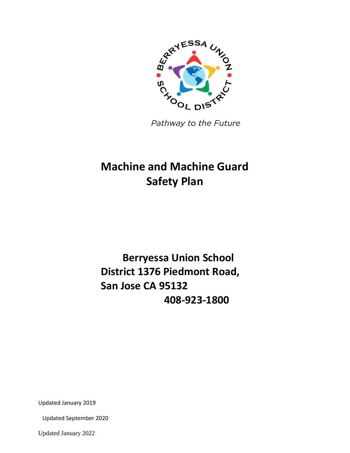

Pathway to the Future

# **Machine and Machine Guard Safety Plan**

# **Berryessa Union School District 1376 Piedmont Road, San Jose CA 95132 408-923-1800**

Updated January 2019

Updated September 2020

Updated January 2022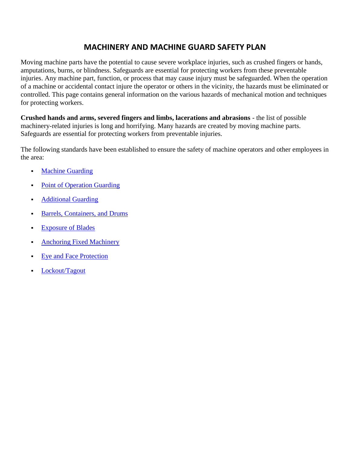# **MACHINERY AND MACHINE GUARD SAFETY PLAN**

Moving machine parts have the potential to cause severe workplace injuries, such as crushed fingers or hands, amputations, burns, or blindness. Safeguards are essential for protecting workers from these preventable injuries. Any machine part, function, or process that may cause injury must be safeguarded. When the operation of a machine or accidental contact injure the operator or others in the vicinity, the hazards must be eliminated or controlled. This page contains general information on the various hazards of mechanical motion and techniques for protecting workers.

**Crushed hands and arms, severed fingers and limbs, lacerations and abrasions** - the list of possible machinery-related injuries is long and horrifying. Many hazards are created by moving machine parts. Safeguards are essential for protecting workers from preventable injuries.

The following standards have been established to ensure the safety of machine operators and other employees in the area:

- **Machine Guarding**
- Point of Operation Guarding
- Additional Guarding
- Barrels, Containers, and Drums
- Exposure of Blades
- **Anchoring Fixed Machinery**
- Eye and Face Protection
- Lockout/Tagout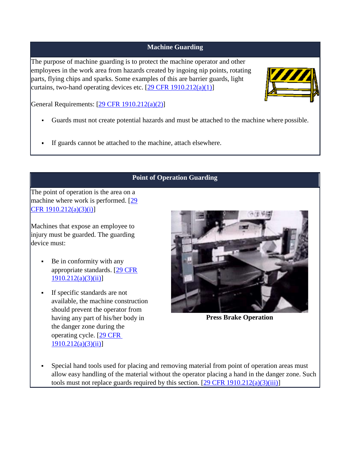#### **Machine Guarding**

The purpose of machine guarding is to protect the machine operator and other employees in the work area from hazards created by ingoing nip points, rotating parts, flying chips and sparks. Some examples of this are barrier guards, light curtains, two-hand operating devices etc.  $[29 \text{ CFR } 1910.212(a)(1)]$ 



General Requirements: [29 CFR 1910.212(a)(2)]

- Guards must not create potential hazards and must be attached to the machine where possible.
- If guards cannot be attached to the machine, attach elsewhere.

# **Point of Operation Guarding**

The point of operation is the area on a machine where work is performed. [29] CFR 1910.212(a)(3)(i)]

Machines that expose an employee to injury must be guarded. The guarding device must:

- Be in conformity with any appropriate standards. [29 CFR  $1910.212(a)(3)(ii)$ ]
- If specific standards are not available, the machine construction should prevent the operator from having any part of his/her body in the danger zone during the operating cycle. [29 CFR 1910.212(a)(3)(ii)]



**Press Brake Operation**

 Special hand tools used for placing and removing material from point of operation areas must allow easy handling of the material without the operator placing a hand in the danger zone. Such tools must not replace guards required by this section.  $[29 \text{ CFR } 1910.212(a)(3)(iii)]$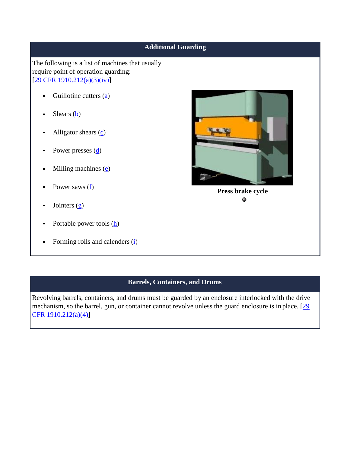# **Additional Guarding** The following is a list of machines that usually require point of operation guarding: [29 CFR 1910.212(a)(3)(iv)] Guillotine cutters (a)  $\blacksquare$ Shears  $(b)$  $\blacksquare$ Alligator shears (c)  $\blacksquare$ Power presses (d)  $\blacksquare$ Milling machines  $(e)$  $\blacksquare$ Power saws  $(f)$  $\blacksquare$ **Press brake cycle** ۰ Jointers  $(g)$  $\blacksquare$ Portable power tools (h)  $\blacksquare$  $\blacksquare$ Forming rolls and calenders (i)

# **Barrels, Containers, and Drums**

Revolving barrels, containers, and drums must be guarded by an enclosure interlocked with the drive mechanism, so the barrel, gun, or container cannot revolve unless the guard enclosure is in place. [29] CFR 1910.212(a)(4)]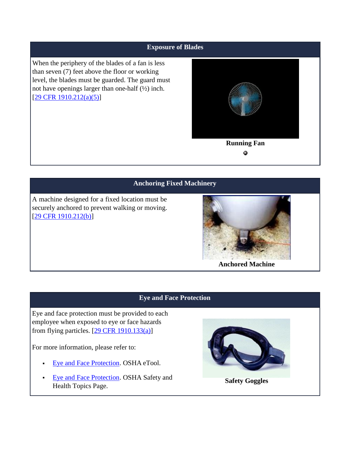#### **Exposure of Blades**

When the periphery of the blades of a fan is less than seven (7) feet above the floor or working level, the blades must be guarded. The guard must not have openings larger than one-half (½) inch.  $[29 \text{ CFR } 1910.212(a)(5)]$ 



## **Anchoring Fixed Machinery**

A machine designed for a fixed location must be securely anchored to prevent walking or moving. [29 CFR 1910.212(b)]



**Anchored Machine**

#### **Eye and Face Protection**

Eye and face protection must be provided to each employee when exposed to eye or face hazards from flying particles.  $[29 \text{ CFR } 1910.133(a)]$ 

For more information, please refer to:

- Eye and Face Protection. OSHA eTool.
- Eye and Face Protection. OSHA Safety and Health Topics Page.



**Safety Goggles**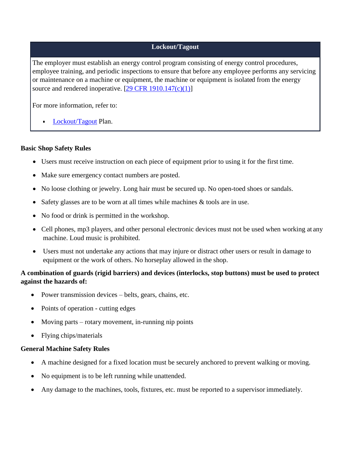### **Lockout/Tagout**

The employer must establish an energy control program consisting of energy control procedures, employee training, and periodic inspections to ensure that before any employee performs any servicing or maintenance on a machine or equipment, the machine or equipment is isolated from the energy source and rendered inoperative.  $[29 \text{ CFR } 1910.147 \text{ (c)}(1)]$ 

For more information, refer to:

Lockout/Tagout Plan.

#### **Basic Shop Safety Rules**

 $\blacksquare$ 

- Users must receive instruction on each piece of equipment prior to using it for the first time.
- Make sure emergency contact numbers are posted.
- No loose clothing or jewelry. Long hair must be secured up. No open-toed shoes or sandals.
- Safety glasses are to be worn at all times while machines & tools are in use.
- No food or drink is permitted in the workshop.
- Cell phones, mp3 players, and other personal electronic devices must not be used when working at any machine. Loud music is prohibited.
- Users must not undertake any actions that may injure or distract other users or result in damage to equipment or the work of others. No horseplay allowed in the shop.

## **A combination of guards (rigid barriers) and devices (interlocks, stop buttons) must be used to protect against the hazards of:**

- Power transmission devices belts, gears, chains, etc.
- Points of operation cutting edges
- Moving parts rotary movement, in-running nip points
- Flying chips/materials

#### **General Machine Safety Rules**

- A machine designed for a fixed location must be securely anchored to prevent walking or moving.
- No equipment is to be left running while unattended.
- Any damage to the machines, tools, fixtures, etc. must be reported to a supervisor immediately.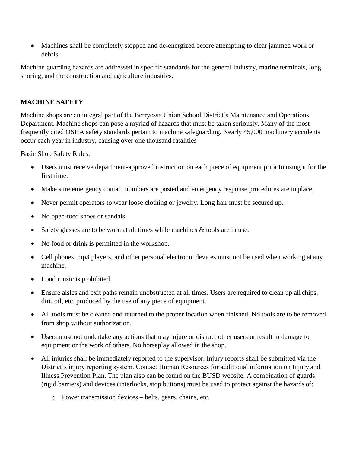Machines shall be completely stopped and de-energized before attempting to clear jammed work or debris.

Machine guarding hazards are addressed in specific standards for the general industry, marine terminals, long shoring, and the construction and agriculture industries.

## **MACHINE SAFETY**

Machine shops are an integral part of the Berryessa Union School District's Maintenance and Operations Department. Machine shops can pose a myriad of hazards that must be taken seriously. Many of the most frequently cited OSHA safety standards pertain to machine safeguarding. Nearly 45,000 machinery accidents occur each year in industry, causing over one thousand fatalities

Basic Shop Safety Rules:

- Users must receive department-approved instruction on each piece of equipment prior to using it for the first time.
- Make sure emergency contact numbers are posted and emergency response procedures are in place.
- Never permit operators to wear loose clothing or jewelry. Long hair must be secured up.
- No open-toed shoes or sandals.
- Safety glasses are to be worn at all times while machines & tools are in use.
- No food or drink is permitted in the workshop.
- Cell phones, mp3 players, and other personal electronic devices must not be used when working at any machine.
- Loud music is prohibited.
- Ensure aisles and exit paths remain unobstructed at all times. Users are required to clean up all chips, dirt, oil, etc. produced by the use of any piece of equipment.
- All tools must be cleaned and returned to the proper location when finished. No tools are to be removed from shop without authorization.
- Users must not undertake any actions that may injure or distract other users or result in damage to equipment or the work of others. No horseplay allowed in the shop.
- All injuries shall be immediately reported to the supervisor. Injury reports shall be submitted via the District's injury reporting system. Contact Human Resources for additional information on Injury and Illness Prevention Plan. The plan also can be found on the BUSD website. A combination of guards (rigid barriers) and devices (interlocks, stop buttons) must be used to protect against the hazards of:
	- o Power transmission devices belts, gears, chains, etc.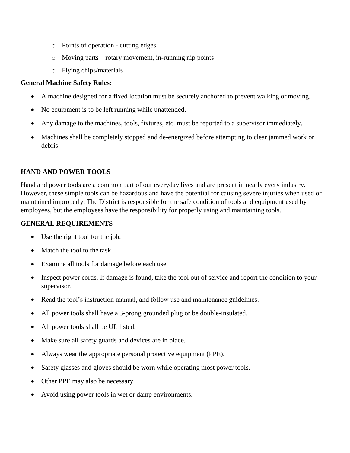- o Points of operation cutting edges
- o Moving parts rotary movement, in-running nip points
- o Flying chips/materials

#### **General Machine Safety Rules:**

- A machine designed for a fixed location must be securely anchored to prevent walking or moving.
- No equipment is to be left running while unattended.
- Any damage to the machines, tools, fixtures, etc. must be reported to a supervisor immediately.
- Machines shall be completely stopped and de-energized before attempting to clear jammed work or debris

#### **HAND AND POWER TOOLS**

Hand and power tools are a common part of our everyday lives and are present in nearly every industry. However, these simple tools can be hazardous and have the potential for causing severe injuries when used or maintained improperly. The District is responsible for the safe condition of tools and equipment used by employees, but the employees have the responsibility for properly using and maintaining tools.

## **GENERAL REQUIREMENTS**

- Use the right tool for the job.
- Match the tool to the task.
- Examine all tools for damage before each use.
- Inspect power cords. If damage is found, take the tool out of service and report the condition to your supervisor.
- Read the tool's instruction manual, and follow use and maintenance guidelines.
- All power tools shall have a 3-prong grounded plug or be double-insulated.
- All power tools shall be UL listed.
- Make sure all safety guards and devices are in place.
- Always wear the appropriate personal protective equipment (PPE).
- Safety glasses and gloves should be worn while operating most power tools.
- Other PPE may also be necessary.
- Avoid using power tools in wet or damp environments.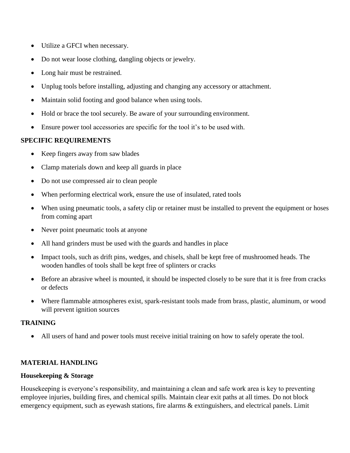- Utilize a GFCI when necessary.
- Do not wear loose clothing, dangling objects or jewelry.
- Long hair must be restrained.
- Unplug tools before installing, adjusting and changing any accessory or attachment.
- Maintain solid footing and good balance when using tools.
- Hold or brace the tool securely. Be aware of your surrounding environment.
- Ensure power tool accessories are specific for the tool it's to be used with.

## **SPECIFIC REQUIREMENTS**

- Keep fingers away from saw blades
- Clamp materials down and keep all guards in place
- Do not use compressed air to clean people
- When performing electrical work, ensure the use of insulated, rated tools
- When using pneumatic tools, a safety clip or retainer must be installed to prevent the equipment or hoses from coming apart
- Never point pneumatic tools at anyone
- All hand grinders must be used with the guards and handles in place
- Impact tools, such as drift pins, wedges, and chisels, shall be kept free of mushroomed heads. The wooden handles of tools shall be kept free of splinters or cracks
- Before an abrasive wheel is mounted, it should be inspected closely to be sure that it is free from cracks or defects
- Where flammable atmospheres exist, spark-resistant tools made from brass, plastic, aluminum, or wood will prevent ignition sources

#### **TRAINING**

All users of hand and power tools must receive initial training on how to safely operate the tool.

#### **MATERIAL HANDLING**

#### **Housekeeping & Storage**

Housekeeping is everyone's responsibility, and maintaining a clean and safe work area is key to preventing employee injuries, building fires, and chemical spills. Maintain clear exit paths at all times. Do not block emergency equipment, such as eyewash stations, fire alarms & extinguishers, and electrical panels. Limit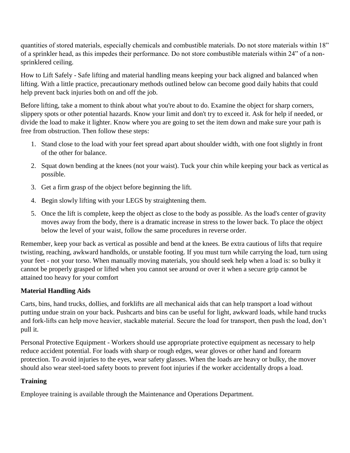quantities of stored materials, especially chemicals and combustible materials. Do not store materials within 18" of a sprinkler head, as this impedes their performance. Do not store combustible materials within 24" of a nonsprinklered ceiling.

How to Lift Safely - Safe lifting and material handling means keeping your back aligned and balanced when lifting. With a little practice, precautionary methods outlined below can become good daily habits that could help prevent back injuries both on and off the job.

Before lifting, take a moment to think about what you're about to do. Examine the object for sharp corners, slippery spots or other potential hazards. Know your limit and don't try to exceed it. Ask for help if needed, or divide the load to make it lighter. Know where you are going to set the item down and make sure your path is free from obstruction. Then follow these steps:

- 1. Stand close to the load with your feet spread apart about shoulder width, with one foot slightly in front of the other for balance.
- 2. Squat down bending at the knees (not your waist). Tuck your chin while keeping your back as vertical as possible.
- 3. Get a firm grasp of the object before beginning the lift.
- 4. Begin slowly lifting with your LEGS by straightening them.
- 5. Once the lift is complete, keep the object as close to the body as possible. As the load's center of gravity moves away from the body, there is a dramatic increase in stress to the lower back. To place the object below the level of your waist, follow the same procedures in reverse order.

Remember, keep your back as vertical as possible and bend at the knees. Be extra cautious of lifts that require twisting, reaching, awkward handholds, or unstable footing. If you must turn while carrying the load, turn using your feet - not your torso. When manually moving materials, you should seek help when a load is: so bulky it cannot be properly grasped or lifted when you cannot see around or over it when a secure grip cannot be attained too heavy for your comfort

## **Material Handling Aids**

Carts, bins, hand trucks, dollies, and forklifts are all mechanical aids that can help transport a load without putting undue strain on your back. Pushcarts and bins can be useful for light, awkward loads, while hand trucks and fork-lifts can help move heavier, stackable material. Secure the load for transport, then push the load, don't pull it.

Personal Protective Equipment - Workers should use appropriate protective equipment as necessary to help reduce accident potential. For loads with sharp or rough edges, wear gloves or other hand and forearm protection. To avoid injuries to the eyes, wear safety glasses. When the loads are heavy or bulky, the mover should also wear steel-toed safety boots to prevent foot injuries if the worker accidentally drops a load.

# **Training**

Employee training is available through the Maintenance and Operations Department.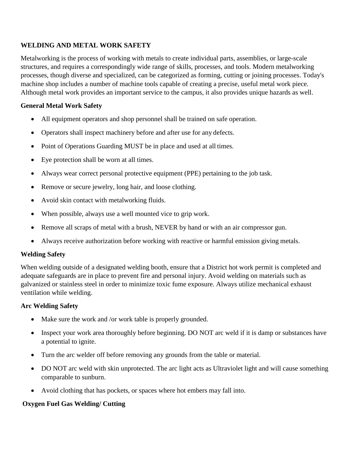## **WELDING AND METAL WORK SAFETY**

Metalworking is the process of working with metals to create individual parts, assemblies, or large-scale structures, and requires a correspondingly wide range of skills, processes, and tools. Modern metalworking processes, though diverse and specialized, can be categorized as forming, cutting or joining processes. Today's machine shop includes a number of machine tools capable of creating a precise, useful metal work piece. Although metal work provides an important service to the campus, it also provides unique hazards as well.

## **General Metal Work Safety**

- All equipment operators and shop personnel shall be trained on safe operation.
- Operators shall inspect machinery before and after use for any defects.
- Point of Operations Guarding MUST be in place and used at all times.
- Eye protection shall be worn at all times.
- Always wear correct personal protective equipment (PPE) pertaining to the job task.
- Remove or secure jewelry, long hair, and loose clothing.
- Avoid skin contact with metalworking fluids.
- When possible, always use a well mounted vice to grip work.
- Remove all scraps of metal with a brush, NEVER by hand or with an air compressor gun.
- Always receive authorization before working with reactive or harmful emission giving metals.

#### **Welding Safety**

When welding outside of a designated welding booth, ensure that a District hot work permit is completed and adequate safeguards are in place to prevent fire and personal injury. Avoid welding on materials such as galvanized or stainless steel in order to minimize toxic fume exposure. Always utilize mechanical exhaust ventilation while welding.

#### **Arc Welding Safety**

- Make sure the work and /or work table is properly grounded.
- Inspect your work area thoroughly before beginning. DO NOT arc weld if it is damp or substances have a potential to ignite.
- Turn the arc welder off before removing any grounds from the table or material.
- DO NOT arc weld with skin unprotected. The arc light acts as Ultraviolet light and will cause something comparable to sunburn.
- Avoid clothing that has pockets, or spaces where hot embers may fall into.

## **Oxygen Fuel Gas Welding/ Cutting**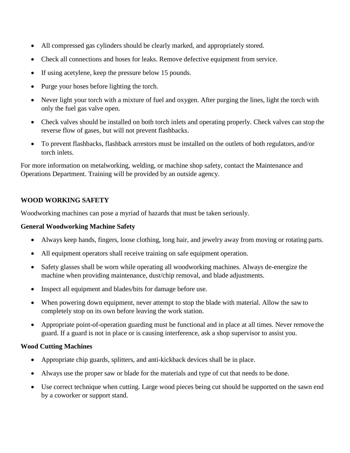- All compressed gas cylinders should be clearly marked, and appropriately stored.
- Check all connections and hoses for leaks. Remove defective equipment from service.
- If using acetylene, keep the pressure below 15 pounds.
- Purge your hoses before lighting the torch.
- Never light your torch with a mixture of fuel and oxygen. After purging the lines, light the torch with only the fuel gas valve open.
- Check valves should be installed on both torch inlets and operating properly. Check valves can stop the reverse flow of gases, but will not prevent flashbacks.
- To prevent flashbacks, flashback arrestors must be installed on the outlets of both regulators, and/or torch inlets.

For more information on metalworking, welding, or machine shop safety, contact the Maintenance and Operations Department. Training will be provided by an outside agency.

## **WOOD WORKING SAFETY**

Woodworking machines can pose a myriad of hazards that must be taken seriously.

### **General Woodworking Machine Safety**

- Always keep hands, fingers, loose clothing, long hair, and jewelry away from moving or rotating parts.
- All equipment operators shall receive training on safe equipment operation.
- Safety glasses shall be worn while operating all woodworking machines. Always de-energize the machine when providing maintenance, dust/chip removal, and blade adjustments.
- Inspect all equipment and blades/bits for damage before use.
- When powering down equipment, never attempt to stop the blade with material. Allow the saw to completely stop on its own before leaving the work station.
- Appropriate point-of-operation guarding must be functional and in place at all times. Never remove the guard. If a guard is not in place or is causing interference, ask a shop supervisor to assist you.

#### **Wood Cutting Machines**

- Appropriate chip guards, splitters, and anti-kickback devices shall be in place.
- Always use the proper saw or blade for the materials and type of cut that needs to be done.
- Use correct technique when cutting. Large wood pieces being cut should be supported on the sawn end by a coworker or support stand.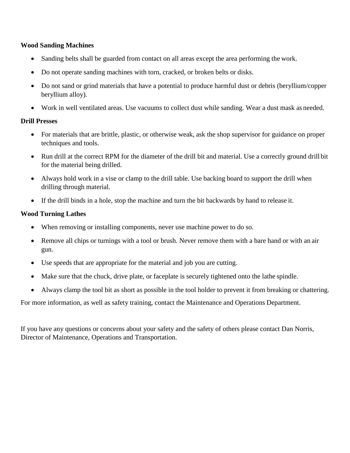#### **Wood Sanding Machines**

- Sanding belts shall be guarded from contact on all areas except the area performing the work.
- Do not operate sanding machines with torn, cracked, or broken belts or disks.
- Do not sand or grind materials that have a potential to produce harmful dust or debris (beryllium/copper beryllium alloy).
- Work in well ventilated areas. Use vacuums to collect dust while sanding. Wear a dust mask as needed.

#### **Drill Presses**

- For materials that are brittle, plastic, or otherwise weak, ask the shop supervisor for guidance on proper techniques and tools.
- Run drill at the correct RPM for the diameter of the drill bit and material. Use a correctly ground drill bit for the material being drilled.
- Always hold work in a vise or clamp to the drill table. Use backing board to support the drill when drilling through material.
- If the drill binds in a hole, stop the machine and turn the bit backwards by hand to release it.

#### **Wood Turning Lathes**

- When removing or installing components, never use machine power to do so.
- Remove all chips or turnings with a tool or brush. Never remove them with a bare hand or with an air gun.
- Use speeds that are appropriate for the material and job you are cutting.
- Make sure that the chuck, drive plate, or faceplate is securely tightened onto the lathe spindle.
- Always clamp the tool bit as short as possible in the tool holder to prevent it from breaking or chattering.

For more information, as well as safety training, contact the Maintenance and Operations Department.

If you have any questions or concerns about your safety and the safety of others please contact Dan Norris, Director of Maintenance, Operations and Transportation.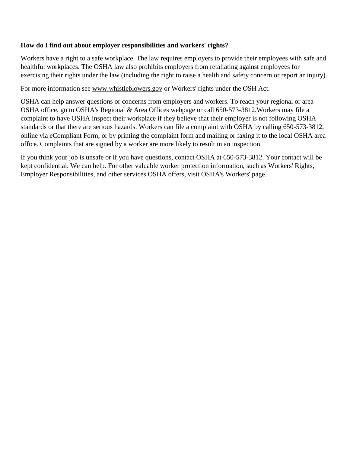#### **How do I find out about employer responsibilities and workers' rights?**

Workers have a right to a safe workplace. The law requires employers to provide their employees with safe and healthful workplaces. The OSHA law also prohibits employers from retaliating against employees for exercising their rights under the law (including the right to raise a health and safety concern or report an injury).

For more information see [www.whistleblowers.gov](http://www.whistleblowers.gov/) or Workers' rights under the OSH Act.

OSHA can help answer questions or concerns from employers and workers. To reach your regional or area OSHA office, go to OSHA's Regional & Area Offices webpage or call 650-573-3812.Workers may file a complaint to have OSHA inspect their workplace if they believe that their employer is not following OSHA standards or that there are serious hazards. Workers can file a complaint with OSHA by calling 650-573-3812, online via eCompliant Form, or by printing the complaint form and mailing or faxing it to the local OSHA area office. Complaints that are signed by a worker are more likely to result in an inspection.

If you think your job is unsafe or if you have questions, contact OSHA at 650-573-3812. Your contact will be kept confidential. We can help. For other valuable worker protection information, such as Workers' Rights, Employer Responsibilities, and other services OSHA offers, visit OSHA's Workers' page.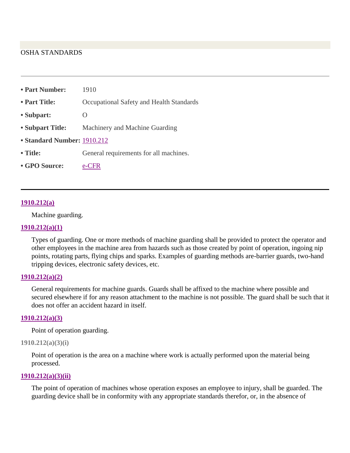#### OSHA STANDARDS

| • Part Number:              | 1910                                     |
|-----------------------------|------------------------------------------|
| • Part Title:               | Occupational Safety and Health Standards |
| • Subpart:                  |                                          |
| • Subpart Title:            | Machinery and Machine Guarding           |
| • Standard Number: 1910.212 |                                          |
| • Title:                    | General requirements for all machines.   |
| • GPO Source:               |                                          |

#### **1910.212(a)**

Machine guarding.

#### **1910.212(a)(1)**

Types of guarding. One or more methods of machine guarding shall be provided to protect the operator and other employees in the machine area from hazards such as those created by point of operation, ingoing nip points, rotating parts, flying chips and sparks. Examples of guarding methods are-barrier guards, two-hand tripping devices, electronic safety devices, etc.

#### **1910.212(a)(2)**

General requirements for machine guards. Guards shall be affixed to the machine where possible and secured elsewhere if for any reason attachment to the machine is not possible. The guard shall be such that it does not offer an accident hazard in itself.

#### **1910.212(a)(3)**

Point of operation guarding.

#### **1910.212(a)(3)(i)**

Point of operation is the area on a machine where work is actually performed upon the material being processed.

#### **1910.212(a)(3)(ii)**

The point of operation of machines whose operation exposes an employee to injury, shall be guarded. The guarding device shall be in conformity with any appropriate standards therefor, or, in the absence of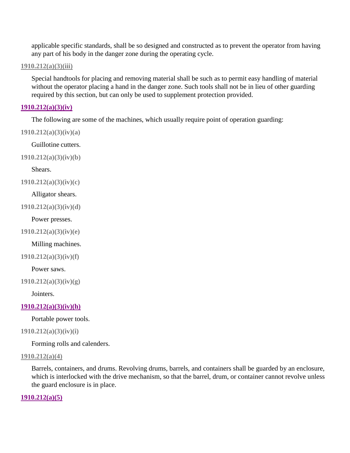applicable specific standards, shall be so designed and constructed as to prevent the operator from having any part of his body in the danger zone during the operating cycle.

#### **1910.212(a)(3)(iii)**

Special handtools for placing and removing material shall be such as to permit easy handling of material without the operator placing a hand in the danger zone. Such tools shall not be in lieu of other guarding required by this section, but can only be used to supplement protection provided.

#### **1910.212(a)(3)(iv)**

The following are some of the machines, which usually require point of operation guarding:

**1910.212(a)(3)(iv)(a)**

Guillotine cutters.

**1910.212(a)(3)(iv)(b)**

Shears.

**1910.212(a)(3)(iv)(c)**

#### Alligator shears.

**1910.212(a)(3)(iv)(d)**

Power presses.

**1910.212(a)(3)(iv)(e)**

Milling machines.

**1910.212(a)(3)(iv)(f)**

Power saws.

**1910.212(a)(3)(iv)(g)**

Jointers.

#### **1910.212(a)(3)(iv)(h)**

Portable power tools.

#### **1910.212(a)(3)(iv)(i)**

Forming rolls and calenders.

#### **1910.212(a)(4)**

Barrels, containers, and drums. Revolving drums, barrels, and containers shall be guarded by an enclosure, which is interlocked with the drive mechanism, so that the barrel, drum, or container cannot revolve unless the guard enclosure is in place.

#### **1910.212(a)(5)**